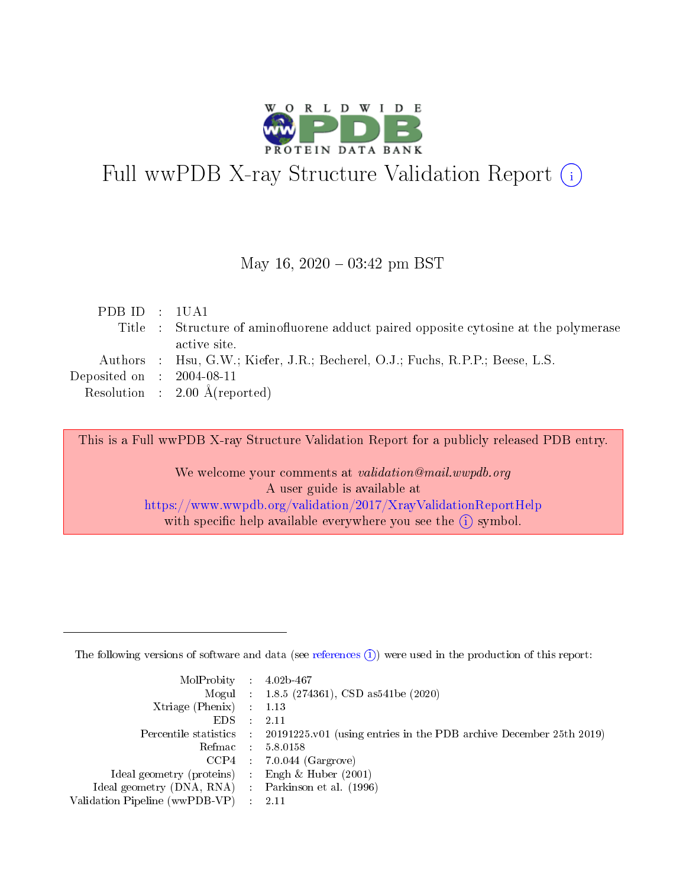

# Full wwPDB X-ray Structure Validation Report (i)

#### May 16,  $2020 - 03:42$  pm BST

| PDB ID : 1UA1                       |                                                                                      |
|-------------------------------------|--------------------------------------------------------------------------------------|
|                                     | Title : Structure of aminofluorene adduct paired opposite cytosine at the polymerase |
|                                     | active site.                                                                         |
|                                     | Authors : Hsu, G.W.; Kiefer, J.R.; Becherel, O.J.; Fuchs, R.P.P.; Beese, L.S.        |
| Deposited on $\,$ : 2004-08-11 $\,$ |                                                                                      |
|                                     | Resolution : $2.00 \text{ Å}$ (reported)                                             |
|                                     |                                                                                      |

This is a Full wwPDB X-ray Structure Validation Report for a publicly released PDB entry.

We welcome your comments at validation@mail.wwpdb.org A user guide is available at <https://www.wwpdb.org/validation/2017/XrayValidationReportHelp> with specific help available everywhere you see the  $(i)$  symbol.

The following versions of software and data (see [references](https://www.wwpdb.org/validation/2017/XrayValidationReportHelp#references)  $(1)$ ) were used in the production of this report:

| $MolProbability$ : 4.02b-467                      |                              |                                                                                            |
|---------------------------------------------------|------------------------------|--------------------------------------------------------------------------------------------|
|                                                   |                              | Mogul : 1.8.5 (274361), CSD as 541be (2020)                                                |
| Xtriage (Phenix) $: 1.13$                         |                              |                                                                                            |
| EDS –                                             | $\sim$                       | -2.11                                                                                      |
|                                                   |                              | Percentile statistics : 20191225.v01 (using entries in the PDB archive December 25th 2019) |
| Refmac : 5.8.0158                                 |                              |                                                                                            |
| CCP4                                              |                              | $7.0.044$ (Gargrove)                                                                       |
| Ideal geometry (proteins)                         | $\mathcal{L}_{\mathrm{eff}}$ | Engh & Huber $(2001)$                                                                      |
| Ideal geometry (DNA, RNA) Parkinson et al. (1996) |                              |                                                                                            |
| Validation Pipeline (wwPDB-VP) : 2.11             |                              |                                                                                            |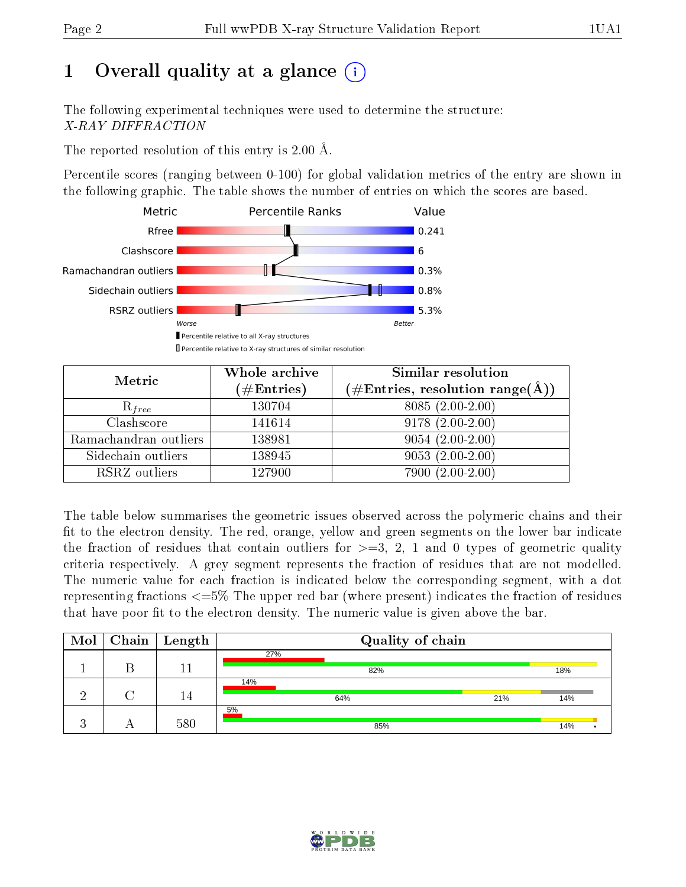# 1 [O](https://www.wwpdb.org/validation/2017/XrayValidationReportHelp#overall_quality)verall quality at a glance  $(i)$

The following experimental techniques were used to determine the structure: X-RAY DIFFRACTION

The reported resolution of this entry is 2.00 Å.

Percentile scores (ranging between 0-100) for global validation metrics of the entry are shown in the following graphic. The table shows the number of entries on which the scores are based.



| Metric                | Whole archive<br>$(\#\text{Entries})$ | Similar resolution<br>$(\#\text{Entries}, \, \text{resolution range}(\textup{\AA}))$ |
|-----------------------|---------------------------------------|--------------------------------------------------------------------------------------|
| $R_{free}$            | 130704                                | 8085 (2.00-2.00)                                                                     |
| Clashscore            | 141614                                | $9178(2.00-2.00)$                                                                    |
| Ramachandran outliers | 138981                                | $9054(2.00-2.00)$                                                                    |
| Sidechain outliers    | 138945                                | $9053(2.00-2.00)$                                                                    |
| RSRZ outliers         | 127900                                | $7900(2.00-2.00)$                                                                    |

The table below summarises the geometric issues observed across the polymeric chains and their fit to the electron density. The red, orange, yellow and green segments on the lower bar indicate the fraction of residues that contain outliers for  $>=3, 2, 1$  and 0 types of geometric quality criteria respectively. A grey segment represents the fraction of residues that are not modelled. The numeric value for each fraction is indicated below the corresponding segment, with a dot representing fractions  $\epsilon=5\%$  The upper red bar (where present) indicates the fraction of residues that have poor fit to the electron density. The numeric value is given above the bar.

| $\text{Mol}$ | $\vert$ Chain $\vert$ Length | Quality of chain |     |
|--------------|------------------------------|------------------|-----|
|              |                              | 27%              |     |
|              |                              | 82%              | 18% |
|              |                              | 14%              |     |
|              | 14                           | 21%<br>64%       | 14% |
|              |                              | 5%               |     |
|              | 580                          | 85%              | 14% |

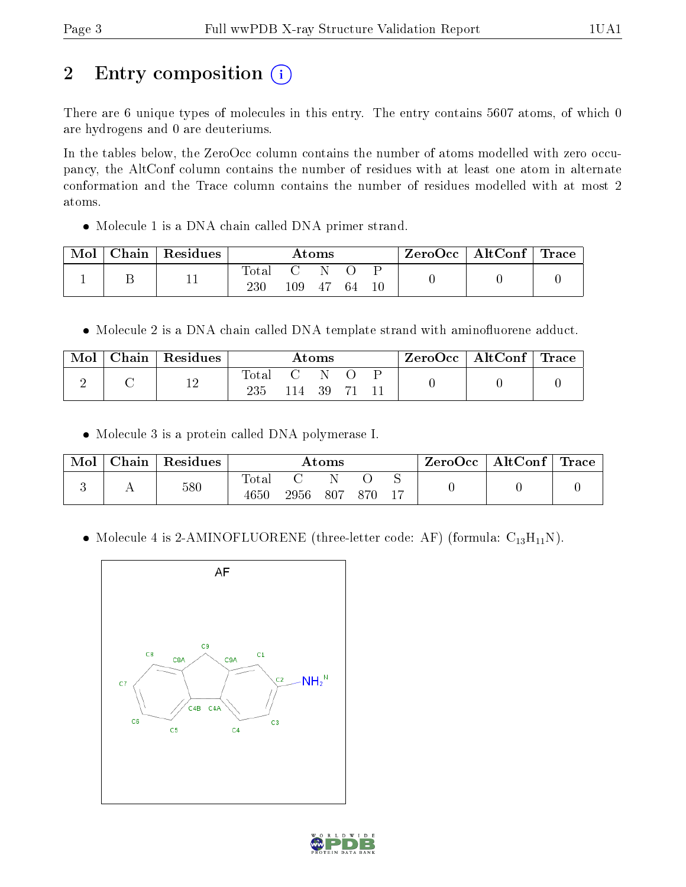# 2 Entry composition (i)

There are 6 unique types of molecules in this entry. The entry contains 5607 atoms, of which 0 are hydrogens and 0 are deuteriums.

In the tables below, the ZeroOcc column contains the number of atoms modelled with zero occupancy, the AltConf column contains the number of residues with at least one atom in alternate conformation and the Trace column contains the number of residues modelled with at most 2 atoms.

Molecule 1 is a DNA chain called DNA primer strand.

| Mol | Chain   Residues | Atoms        |         |     | ZeroOcc   AltConf   Trace |  |  |  |
|-----|------------------|--------------|---------|-----|---------------------------|--|--|--|
|     |                  | Total<br>230 | $109\,$ | -47 | -64                       |  |  |  |

• Molecule 2 is a DNA chain called DNA template strand with aminofluorene adduct.

| Mol | Chain   Residues | $\rm{Atoms}$          |       |    | $\text{ZeroOcc} \mid \text{AltConf} \mid \text{Trace}$ |  |  |  |
|-----|------------------|-----------------------|-------|----|--------------------------------------------------------|--|--|--|
|     | 12               | $_{\rm Total}$<br>235 | l 14. | 39 |                                                        |  |  |  |

• Molecule 3 is a protein called DNA polymerase I.

| Mol | Chain   Residues | $\rm{Atoms}$        |          |  |     | $\text{ZeroOcc} \mid \text{AltConf} \mid \text{Trace}$ |  |  |
|-----|------------------|---------------------|----------|--|-----|--------------------------------------------------------|--|--|
|     | 580              | $\rm Total$<br>4650 | 2956 807 |  | 870 |                                                        |  |  |

• Molecule 4 is 2-AMINOFLUORENE (three-letter code: AF) (formula:  $C_{13}H_{11}N$ ).



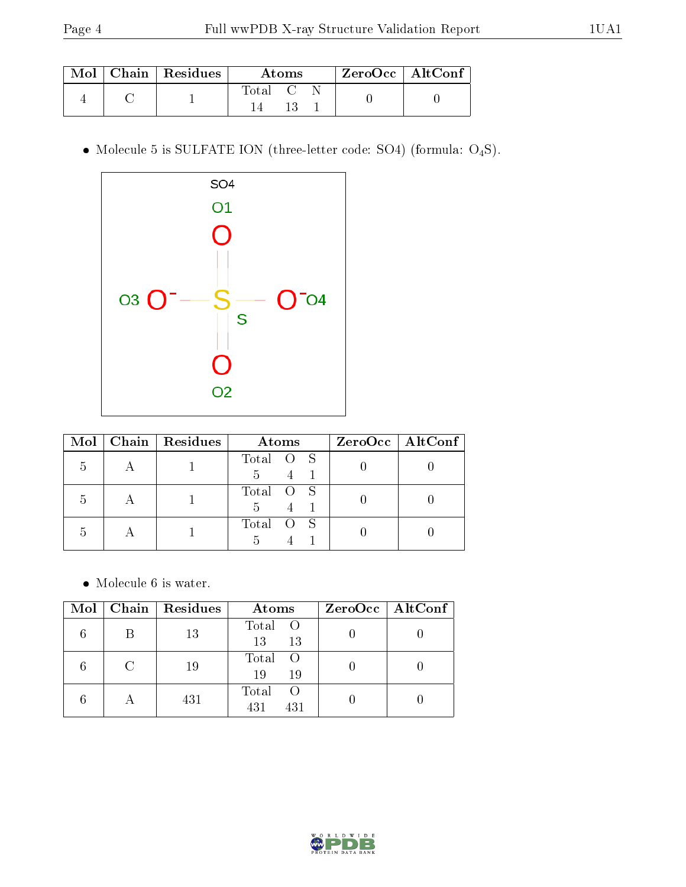|  | $\mid$ Mol $\mid$ Chain $\mid$ Residues $\mid$ | Atoms               |  |  | ' ZeroOcc   AltConf |  |
|--|------------------------------------------------|---------------------|--|--|---------------------|--|
|  |                                                | $\rm Total \quad C$ |  |  |                     |  |

 $\bullet$  Molecule 5 is SULFATE ION (three-letter code: SO4) (formula:  $\mathrm{O}_4\mathrm{S}) .$ 



| Mol | Chain Residues | Atoms                       | $ZeroOcc$   AltConf |
|-----|----------------|-----------------------------|---------------------|
| h   |                | Total O S<br>$\overline{5}$ |                     |
| .5  |                | Total O S<br>5              |                     |
| h   |                | Total O S                   |                     |

 $\bullet\,$  Molecule 6 is water.

|        | $Mol$   Chain   Residues | Atoms                          | $ZeroOcc \   \ AltConf$ |
|--------|--------------------------|--------------------------------|-------------------------|
| В      | 13                       | Total O<br>13<br>13            |                         |
| $\cap$ | 19                       | Total<br>$\circ$<br>19<br>19   |                         |
|        | 431                      | Total<br>$\circ$<br>431<br>431 |                         |

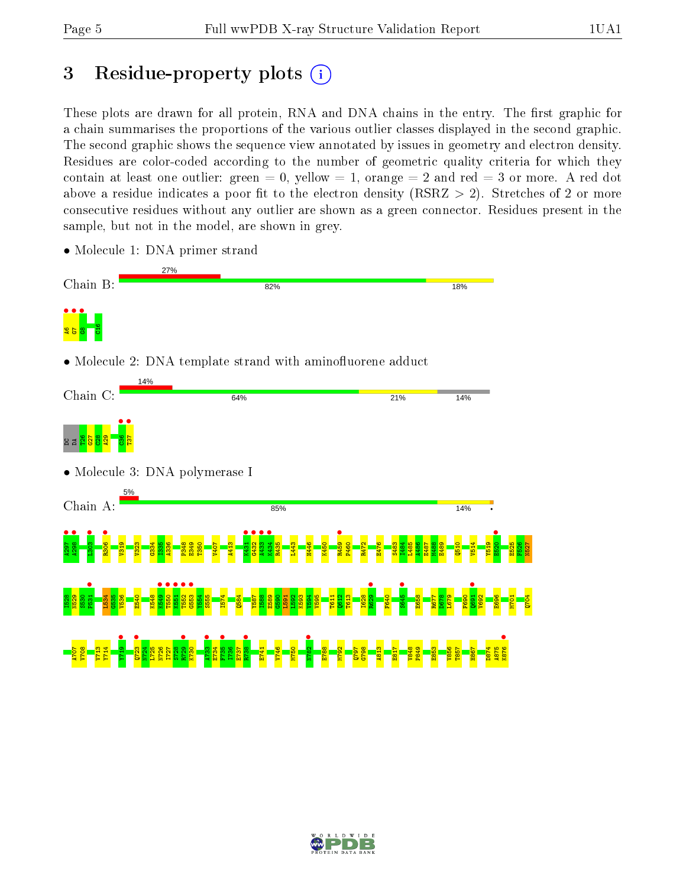# 3 Residue-property plots  $(i)$

These plots are drawn for all protein, RNA and DNA chains in the entry. The first graphic for a chain summarises the proportions of the various outlier classes displayed in the second graphic. The second graphic shows the sequence view annotated by issues in geometry and electron density. Residues are color-coded according to the number of geometric quality criteria for which they contain at least one outlier: green  $= 0$ , yellow  $= 1$ , orange  $= 2$  and red  $= 3$  or more. A red dot above a residue indicates a poor fit to the electron density (RSRZ  $> 2$ ). Stretches of 2 or more consecutive residues without any outlier are shown as a green connector. Residues present in the sample, but not in the model, are shown in grey.



• Molecule 1: DNA primer strand

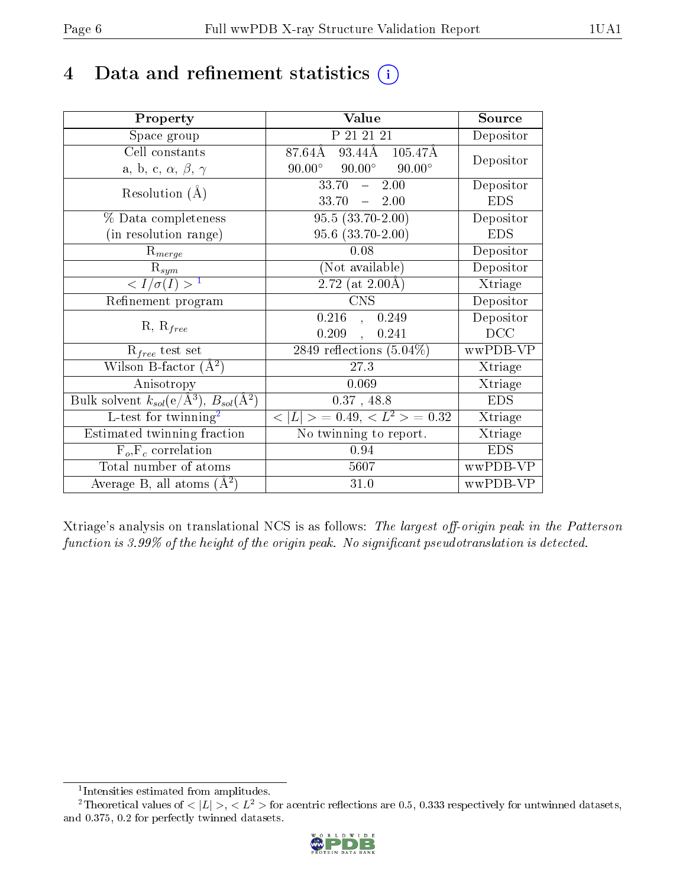# 4 Data and refinement statistics  $(i)$

| Property                                                   | Value                                                         | Source     |
|------------------------------------------------------------|---------------------------------------------------------------|------------|
| Space group                                                | P 21 21 21                                                    | Depositor  |
| Cell constants                                             | $93.44\overline{A}$ $105.47\overline{A}$<br>$87.64\text{\AA}$ | Depositor  |
| a, b, c, $\alpha$ , $\beta$ , $\gamma$                     | $90.00^{\circ}$ $90.00^{\circ}$<br>$90.00^\circ$              |            |
| Resolution $(A)$                                           | 2.00<br>33.70<br>$\equiv$ .                                   | Depositor  |
|                                                            | $33.70 = 2.00$                                                | <b>EDS</b> |
| % Data completeness                                        | $95.5(33.70-2.00)$                                            | Depositor  |
| (in resolution range)                                      | $95.6$ $(33.70-2.00)$                                         | <b>EDS</b> |
| $R_{merge}$                                                | 0.08                                                          | Depositor  |
| $\mathrm{R}_{sym}$                                         | (Not available)                                               | Depositor  |
| $\langle I/\sigma(I) \rangle^{-1}$                         | 2.72 (at $2.00\text{\AA}$ )                                   | Xtriage    |
| Refinement program                                         | <b>CNS</b>                                                    | Depositor  |
| $R, R_{free}$                                              | 0.216<br>0.249<br>$\mathbf{A}$                                | Depositor  |
|                                                            | 0.209<br>0.241<br>$\ddot{\phantom{a}}$                        | DCC        |
| $R_{free}$ test set                                        | 2849 reflections $(5.04\%)$                                   | wwPDB-VP   |
| Wilson B-factor $(\AA^2)$                                  | 27.3                                                          | Xtriage    |
| Anisotropy                                                 | 0.069                                                         | Xtriage    |
| Bulk solvent $k_{sol}$ (e/Å <sup>3</sup> ), $B_{sol}(A^2)$ | $0.37$ , 48.8                                                 | <b>EDS</b> |
| L-test for twinning <sup>2</sup>                           | $< L >$ = 0.49, $< L^2 >$ = 0.32                              | Xtriage    |
| Estimated twinning fraction                                | No twinning to report.                                        | Xtriage    |
| $F_o, F_c$ correlation                                     | 0.94                                                          | <b>EDS</b> |
| Total number of atoms                                      | 5607                                                          | wwPDB-VP   |
| Average B, all atoms $(A^2)$                               | 31.0                                                          | wwPDB-VP   |

Xtriage's analysis on translational NCS is as follows: The largest off-origin peak in the Patterson function is  $3.99\%$  of the height of the origin peak. No significant pseudotranslation is detected.

<sup>&</sup>lt;sup>2</sup>Theoretical values of  $\langle |L| \rangle$ ,  $\langle L^2 \rangle$  for acentric reflections are 0.5, 0.333 respectively for untwinned datasets, and 0.375, 0.2 for perfectly twinned datasets.



<span id="page-5-1"></span><span id="page-5-0"></span><sup>1</sup> Intensities estimated from amplitudes.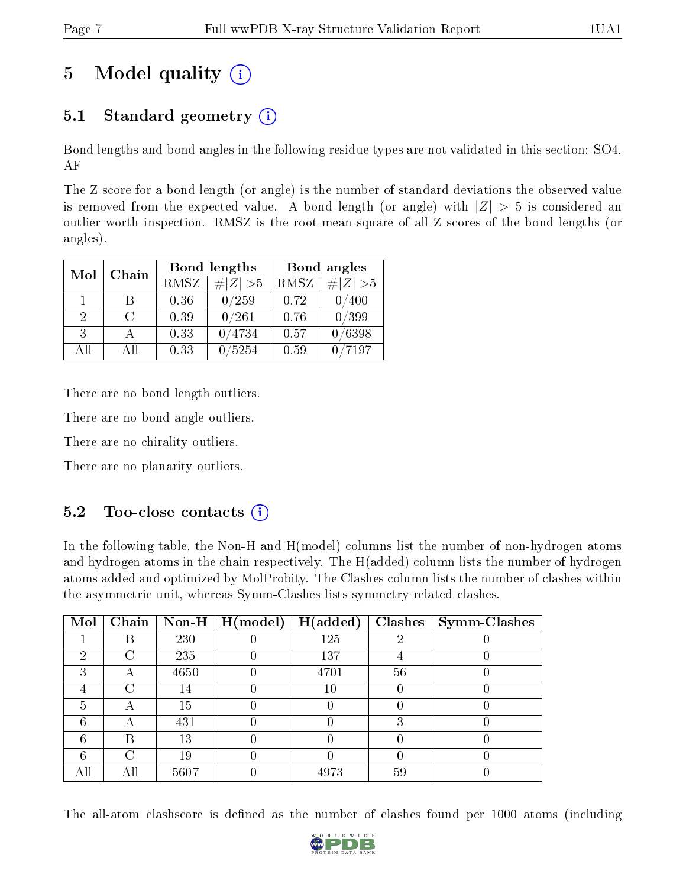# 5 Model quality  $(i)$

## 5.1 Standard geometry  $(i)$

Bond lengths and bond angles in the following residue types are not validated in this section: SO4, AF

The Z score for a bond length (or angle) is the number of standard deviations the observed value is removed from the expected value. A bond length (or angle) with  $|Z| > 5$  is considered an outlier worth inspection. RMSZ is the root-mean-square of all Z scores of the bond lengths (or angles).

| Mol          | Chain  |             | Bond lengths                 | Bond angles |             |  |
|--------------|--------|-------------|------------------------------|-------------|-------------|--|
|              |        | <b>RMSZ</b> | $\vert \# \vert Z \vert > 5$ | RMSZ        | # $ Z  > 5$ |  |
| $\mathbf{1}$ | В      | 0.36        | 0/259                        | 0.72        | 400         |  |
| 2            | $\cap$ | 0.39        | 0/261                        | 0.76        | 0/399       |  |
| 3            |        | 0.33        | /4734                        | 0.57        | 0/6398      |  |
| All          | ΑĦ     | 0.33        | 5254                         | 0.59        | 7197        |  |

There are no bond length outliers.

There are no bond angle outliers.

There are no chirality outliers.

There are no planarity outliers.

### $5.2$  Too-close contacts  $(i)$

In the following table, the Non-H and H(model) columns list the number of non-hydrogen atoms and hydrogen atoms in the chain respectively. The H(added) column lists the number of hydrogen atoms added and optimized by MolProbity. The Clashes column lists the number of clashes within the asymmetric unit, whereas Symm-Clashes lists symmetry related clashes.

| Mol |   |      | Chain   Non-H   $H (model)$ | H(added) |    | $Clashes$   Symm-Clashes |
|-----|---|------|-----------------------------|----------|----|--------------------------|
|     | R | 230  |                             | 125      | റ  |                          |
| 2   | C | 235  |                             | 137      |    |                          |
| ച   |   | 4650 |                             | 4701     | 56 |                          |
|     | C | 14   |                             | 10       |    |                          |
| 5   | Α | 15   |                             |          |    |                          |
| 6   |   | 431  |                             |          |    |                          |
| 6   | В | 13   |                             |          |    |                          |
| 6   | C | 19   |                             |          |    |                          |
|     |   | 5607 |                             | 4973     | 59 |                          |

The all-atom clashscore is defined as the number of clashes found per 1000 atoms (including

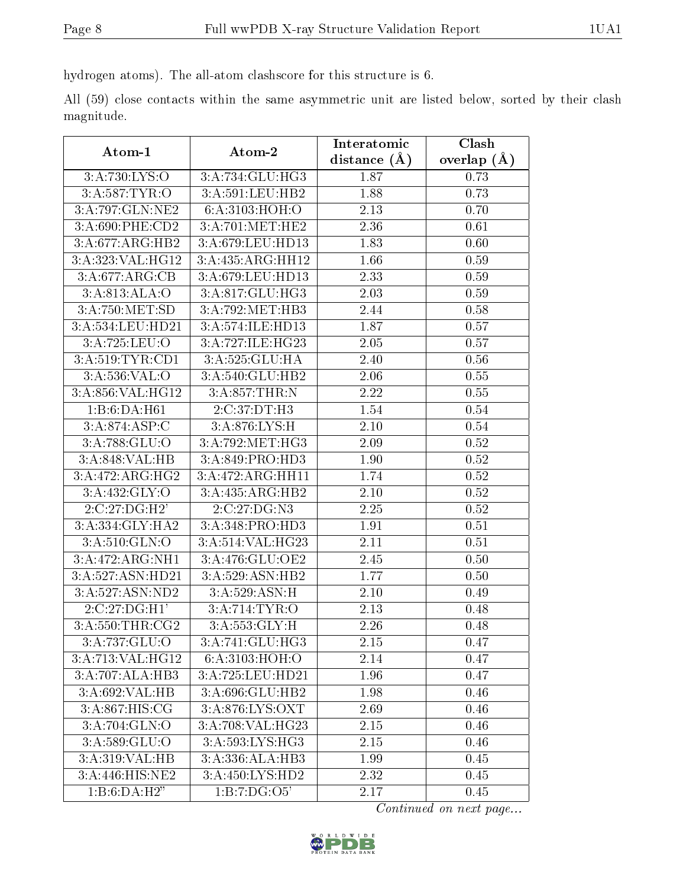hydrogen atoms). The all-atom clashscore for this structure is 6.

All (59) close contacts within the same asymmetric unit are listed below, sorted by their clash magnitude.

| Atom-1            | Atom-2                        | Interatomic      | Clash         |
|-------------------|-------------------------------|------------------|---------------|
|                   |                               | distance $(\AA)$ | overlap $(A)$ |
| 3:A:730:LYS:O     | 3:A:734:GLU:HG3               | 1.87             | 0.73          |
| 3:A:587:TYR:O     | 3:A:591:LEU:HB2               | 1.88             | 0.73          |
| 3:A:797:GLN:NE2   | 6:A:3103:HOH:O                | 2.13             | 0.70          |
| 3:A:690:PHE:CD2   | 3:A:701:MET:HE2               | 2.36             | 0.61          |
| 3:A:677:ARG:HB2   | 3:A:679:LEU:HD13              | 1.83             | 0.60          |
| 3:A:323:VAL:HG12  | 3:A:435:ARG:HH12              | 1.66             | 0.59          |
| 3:A:677:ARG:CB    | 3:A:679:LEU:HD13              | 2.33             | 0.59          |
| 3:A:813:ALA:O     | 3:A:817:GLU:HG3               | 2.03             | 0.59          |
| 3:A:750:MET:SD    | 3:A:792:MET:HB3               | 2.44             | 0.58          |
| 3:A:534:LEU:HD21  | 3:A:574:ILE:HD13              | 1.87             | 0.57          |
| 3:A:725:LEU:O     | 3:A:727:ILE:HG23              | 2.05             | 0.57          |
| 3:A:519:TYR:CD1   | 3:A:525:GLU:HA                | 2.40             | 0.56          |
| 3: A:536: VAL:O   | 3:A:540:GLU:HB2               | 2.06             | 0.55          |
| 3:A:856:VAL:HG12  | 3:A:857:THR:N                 | 2.22             | 0.55          |
| 1:B:6:DA:H61      | 2:C:37:DT:H3                  | 1.54             | 0.54          |
| 3:A:874:ASP:C     | 3:A:876:LYS:H                 | 2.10             | 0.54          |
| 3: A:788: GLU:O   | 3: A:792:MET:HG3              | 2.09             | 0.52          |
| 3:A:848:VAL:HB    | 3:A:849:PRO:HD3               | 1.90             | 0.52          |
| 3:A:472:ARG:HG2   | 3:A:472:ARG:HH11              | 1.74             | 0.52          |
| 3: A: 432: GLY: O | 3:A:435:ARG:HB2               | 2.10             | 0.52          |
| 2:C:27:DG:H2'     | 2:C:27:DG:N3                  | 2.25             | $0.52\,$      |
| 3:A:334:GLY:HA2   | 3:A:348:PRO:HD3               | 1.91             | 0.51          |
| 3:A:510:GLN:O     | 3:A:514:VAL:HG23              | 2.11             | 0.51          |
| 3:A:472:ARG:NH1   | 3:A:476:GLU:OE2               | 2.45             | 0.50          |
| 3:A:527:ASN:HD21  | 3:A:529:ASN:HB2               | 1.77             | 0.50          |
| 3:A:527:ASN:ND2   | 3:A:529:ASN:H                 | 2.10             | 0.49          |
| 2:C:27:DG:H1'     | 3:A:714:TYR:O                 | 2.13             | 0.48          |
| 3:A:550:THR:CG2   | $3:A:553.\overline{GLY:H}$    | 2.26             | 0.48          |
| 3:A:737:GLU:O     | 3:A:741:GLU:HG3               | 2.15             | 0.47          |
| 3:A:713:VAL:HG12  | $6: A:3103: \overline{HOH:O}$ | 2.14             | 0.47          |
| 3:A:707:ALA:HB3   | 3:A:725:LEU:HD21              | 1.96             | 0.47          |
| 3:A:692:VAL:HB    | 3:A:696:GLU:HB2               | 1.98             | 0.46          |
| 3:A:867:HIS:CG    | 3:A:876:LYS:OXT               | 2.69             | 0.46          |
| 3:A:704:GLN:O     | 3:A:708:VAL:HG23              | 2.15             | 0.46          |
| 3:A:589:GLU:O     | 3:A:593:LYS:HG3               | 2.15             | 0.46          |
| 3:A:319:VAL:HB    | 3:A:336:ALA:HB3               | 1.99             | 0.45          |
| 3:A:446:HIS:NE2   | 3:A:450:LYS:HD2               | 2.32             | 0.45          |
| 1:B:6:DA:H2"      | 1:B:7:DG:O5'                  | 2.17             | 0.45          |

Continued on next page...

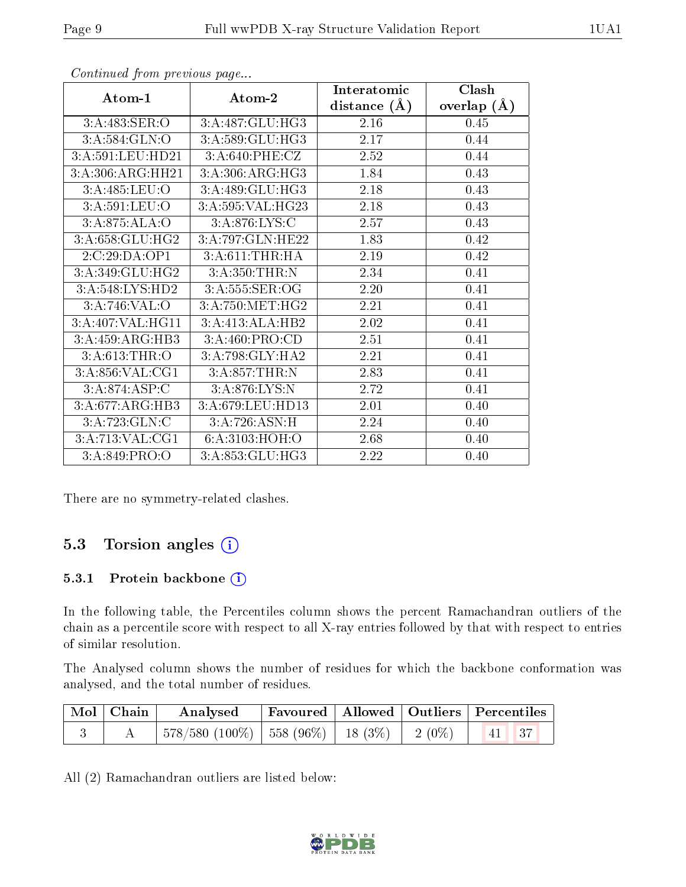|                  |                  | Interatomic      | Clash         |
|------------------|------------------|------------------|---------------|
| Atom-1           | Atom-2           | distance $(\AA)$ | overlap $(A)$ |
| 3:A:483:SER:O    | 3:A:487:GLU:HG3  | 2.16             | 0.45          |
| 3: A:584: GLN:O  | 3:A:589:GLU:HG3  | 2.17             | 0.44          |
| 3:A:591:LEU:HD21 | 3:A:640:PHE:CZ   | 2.52             | 0.44          |
| 3:A:306:ARG:HH21 | 3: A:306:ARG:HG3 | 1.84             | 0.43          |
| 3:A:485:LEU:O    | 3:A:489:GLU:HG3  | 2.18             | 0.43          |
| 3:A:591:LEU:O    | 3:A:595:VAL:HG23 | 2.18             | 0.43          |
| 3:A:875:ALA:O    | 3: A:876: LYS: C | 2.57             | 0.43          |
| 3:A:658:GLU:HG2  | 3:A:797:GLN:HE22 | 1.83             | 0.42          |
| 2:C:29:DA:OP1    | 3: A:611:THR:HA  | 2.19             | 0.42          |
| 3:A:349:GLU:HG2  | 3:A:350:THR:N    | 2.34             | 0.41          |
| 3:A:548:LYS:HD2  | 3:A:555:SER:OG   | 2.20             | 0.41          |
| 3:A:746:VAL:O    | 3:A:750:MET:HG2  | 2.21             | 0.41          |
| 3:A:407:VAL:HG11 | 3:A:413:ALA:HB2  | 2.02             | 0.41          |
| 3:A:459:ARG:HB3  | 3:A:460:PRO:CD   | 2.51             | 0.41          |
| 3:A:613:THR:O    | 3:A:798:GLY:HA2  | 2.21             | 0.41          |
| 3:A:856:VAL:CG1  | 3:A:857:THR:N    | 2.83             | 0.41          |
| 3:A:874:ASP:C    | 3:A:876:LYS:N    | 2.72             | 0.41          |
| 3:A:677:ARG:HB3  | 3:A:679:LEU:HD13 | 2.01             | 0.40          |
| 3:A:723:GLN:C    | 3:A:726:ASN:H    | 2.24             | 0.40          |
| 3:A:713:VAL:CG1  | 6:A:3103:HOH:O   | 2.68             | 0.40          |
| 3:A:849:PRO:O    | 3:A:853:GLU:HG3  | 2.22             | 0.40          |

Continued from previous page...

There are no symmetry-related clashes.

### 5.3 Torsion angles (i)

#### 5.3.1 Protein backbone (i)

In the following table, the Percentiles column shows the percent Ramachandran outliers of the chain as a percentile score with respect to all X-ray entries followed by that with respect to entries of similar resolution.

The Analysed column shows the number of residues for which the backbone conformation was analysed, and the total number of residues.

| $\vert$ Mol $\vert$ Chain $\vert$ | $\boldsymbol{\mathrm{Analysed}}$                                           |  | Favoured   Allowed   Outliers   Percentiles |
|-----------------------------------|----------------------------------------------------------------------------|--|---------------------------------------------|
|                                   | $\mid$ 578/580 (100%) $\mid$ 558 (96%) $\mid$ 18 (3%) $\mid$ 2 (0%) $\mid$ |  | $\vert 41 \vert 37$                         |

All (2) Ramachandran outliers are listed below:

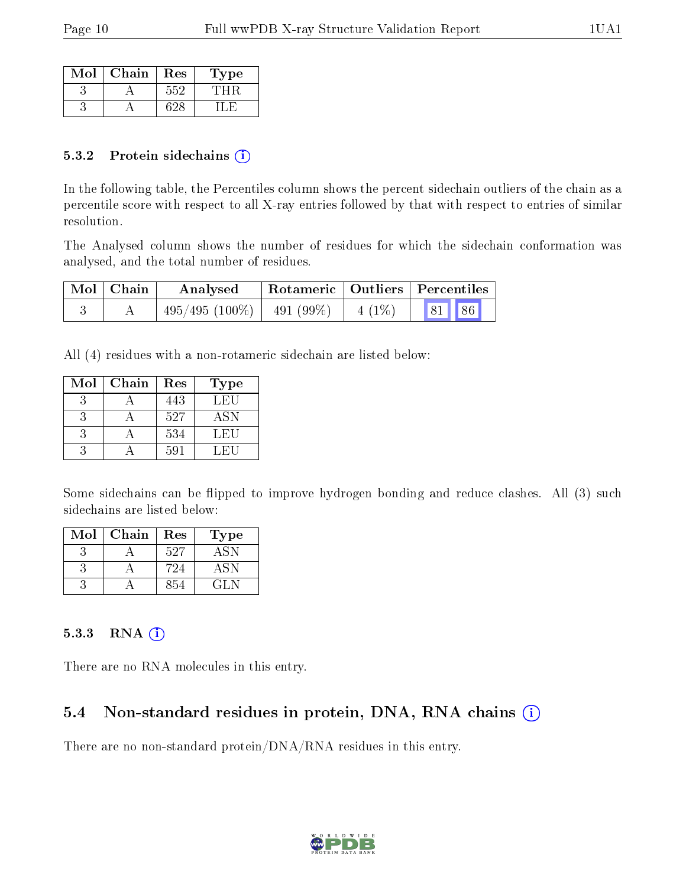| Mol | Chain | Res | L'ype |
|-----|-------|-----|-------|
|     |       | トトン |       |
|     |       |     |       |

#### 5.3.2 Protein sidechains (i)

In the following table, the Percentiles column shows the percent sidechain outliers of the chain as a percentile score with respect to all X-ray entries followed by that with respect to entries of similar resolution.

The Analysed column shows the number of residues for which the sidechain conformation was analysed, and the total number of residues.

| $Mol$   Chain | Analysed                    |          | Rotameric   Outliers   Percentiles |  |
|---------------|-----------------------------|----------|------------------------------------|--|
|               | $495/495(100\%)$ 491 (99\%) | $4(1\%)$ | 81 86                              |  |

All (4) residues with a non-rotameric sidechain are listed below:

| Mol | Chain | Res | Type       |
|-----|-------|-----|------------|
|     |       | 443 | LEU        |
|     |       | 527 | <b>ASN</b> |
|     |       | 534 | LEU        |
|     |       | 591 | LEH        |

Some sidechains can be flipped to improve hydrogen bonding and reduce clashes. All (3) such sidechains are listed below:

| Mol | Chain | Res | Type         |
|-----|-------|-----|--------------|
|     |       | 527 | -ASN         |
|     |       | 724 | ASN          |
|     |       | 854 | $\cdot$ 11 N |

#### 5.3.3 RNA (i)

There are no RNA molecules in this entry.

### 5.4 Non-standard residues in protein, DNA, RNA chains (i)

There are no non-standard protein/DNA/RNA residues in this entry.

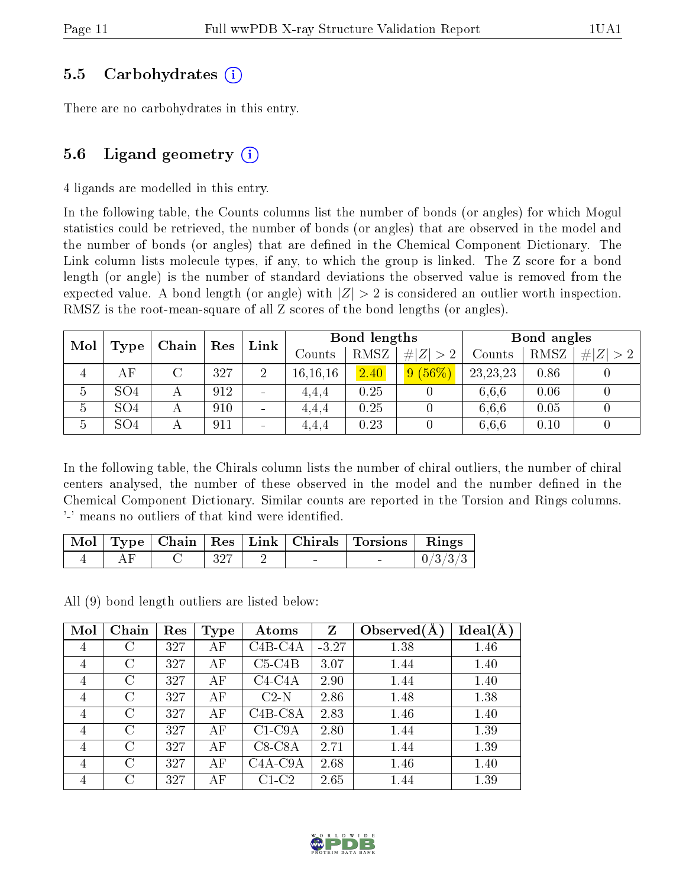### 5.5 Carbohydrates (i)

There are no carbohydrates in this entry.

### 5.6 Ligand geometry  $(i)$

4 ligands are modelled in this entry.

In the following table, the Counts columns list the number of bonds (or angles) for which Mogul statistics could be retrieved, the number of bonds (or angles) that are observed in the model and the number of bonds (or angles) that are defined in the Chemical Component Dictionary. The Link column lists molecule types, if any, to which the group is linked. The Z score for a bond length (or angle) is the number of standard deviations the observed value is removed from the expected value. A bond length (or angle) with  $|Z| > 2$  is considered an outlier worth inspection. RMSZ is the root-mean-square of all Z scores of the bond lengths (or angles).

| Mol | Chain           |  | Res |   | Bond lengths<br>Link |      |             | Bond angles |      |   |
|-----|-----------------|--|-----|---|----------------------|------|-------------|-------------|------|---|
|     | Type            |  |     |   | Counts               | RMSZ | # $ Z  > 2$ | Counts      | RMSZ | Z |
| 4   | AF              |  | 327 | 2 | 16, 16, 16           | 2.40 | $9(56\%)$   | 23, 23, 23  | 0.86 |   |
| 5   | SO <sub>4</sub> |  | 912 |   | 4.4.4                | 0.25 |             | 6.6.6       | 0.06 |   |
| 5   | SO <sub>4</sub> |  | 910 | - | 4,4,4                | 0.25 |             | 6.6.6       | 0.05 |   |
| 5   | SO <sub>4</sub> |  | 911 |   | 4,4,4                | 0.23 |             | 6.6.6       | 0.10 |   |

In the following table, the Chirals column lists the number of chiral outliers, the number of chiral centers analysed, the number of these observed in the model and the number defined in the Chemical Component Dictionary. Similar counts are reported in the Torsion and Rings columns. '-' means no outliers of that kind were identified.

|  |                                          |  | Mol   Type   Chain   Res   Link   Chirals   Torsions   Rings |                     |
|--|------------------------------------------|--|--------------------------------------------------------------|---------------------|
|  | $C \begin{array}{ccc} & 327 \end{array}$ |  |                                                              | $\mid 0/3/3/3 \mid$ |

All (9) bond length outliers are listed below:

| Mol            | Chain         | Res | <b>Type</b> | Atoms     | Z       | Observed $(A$ | Ideal(A) |
|----------------|---------------|-----|-------------|-----------|---------|---------------|----------|
| 4              | С             | 327 | AF          | C4B-C4A   | $-3.27$ | 1.38          | 1.46     |
| $\overline{4}$ | $\rm C$       | 327 | АF          | $C5-C4B$  | 3.07    | 1.44          | 1.40     |
| $\overline{4}$ | $\mathcal{C}$ | 327 | AF          | $C4-C4A$  | 2.90    | 1.44          | 1.40     |
| $\overline{4}$ | С             | 327 | ΑF          | $C2-N$    | 2.86    | 1.48          | 1.38     |
| $\overline{4}$ | $\rm C$       | 327 | АF          | $C4B-C8A$ | 2.83    | 1.46          | 1.40     |
| $\overline{4}$ | C             | 327 | АF          | $C1-C9A$  | 2.80    | 1.44          | 1.39     |
| $\overline{4}$ | $\rm C$       | 327 | AF          | $C8-C8A$  | 2.71    | 1.44          | 1.39     |
| $\overline{4}$ | $\rm C$       | 327 | АF          | $C4A-C9A$ | 2.68    | 1.46          | 1.40     |
| 4              | $\rm C$       | 327 | ΑF          | $C1-C2$   | 2.65    | 1.44          | 1.39     |

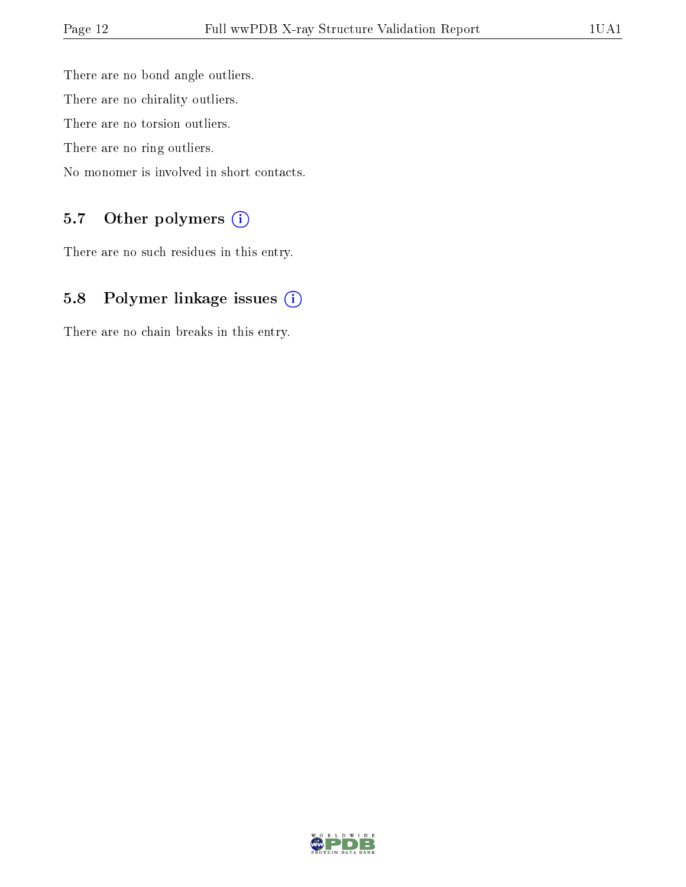There are no bond angle outliers. There are no chirality outliers. There are no torsion outliers. There are no ring outliers. No monomer is involved in short contacts.

### 5.7 [O](https://www.wwpdb.org/validation/2017/XrayValidationReportHelp#nonstandard_residues_and_ligands)ther polymers (i)

There are no such residues in this entry.

## 5.8 Polymer linkage issues (i)

There are no chain breaks in this entry.

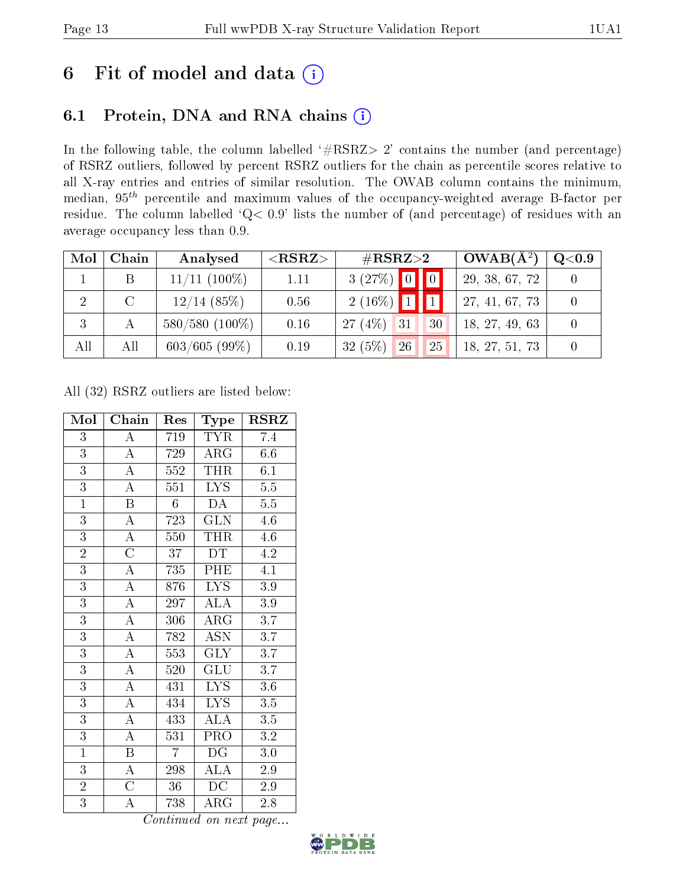# 6 Fit of model and data  $(i)$

## 6.1 Protein, DNA and RNA chains  $(i)$

In the following table, the column labelled  $#RSRZ> 2'$  contains the number (and percentage) of RSRZ outliers, followed by percent RSRZ outliers for the chain as percentile scores relative to all X-ray entries and entries of similar resolution. The OWAB column contains the minimum, median,  $95<sup>th</sup>$  percentile and maximum values of the occupancy-weighted average B-factor per residue. The column labelled ' $Q< 0.9$ ' lists the number of (and percentage) of residues with an average occupancy less than 0.9.

| Mol | Chain         | Analysed          | ${ <\hspace{-1.5pt}{\mathrm{RSRZ}} \hspace{-1.5pt}>}$ | $\#\text{RSRZ}{>}2$   | $OWAB(A^2)$    | $Q<$ 0.9 |
|-----|---------------|-------------------|-------------------------------------------------------|-----------------------|----------------|----------|
|     |               | $11/11$ $(100\%)$ | 1.11                                                  | $3(27%)$ 0 0          | 29, 38, 67, 72 |          |
| 2   | $\mathcal{C}$ | $12/14$ (85%)     | 0.56                                                  | $2(16\%)$ 1           | 27, 41, 67, 73 |          |
|     |               | $580/580(100\%)$  | 0.16                                                  | $27(4\%)$ 31<br>30    | 18, 27, 49, 63 |          |
| All | All           | $603/605(99\%)$   | 0.19                                                  | $32(5\%)$<br>26<br>25 | 18, 27, 51, 73 |          |

All (32) RSRZ outliers are listed below:

| Mol            | Chain                   | Res            | Type                    | $_{\rm RSRZ}$    |
|----------------|-------------------------|----------------|-------------------------|------------------|
| 3              | A                       | 719            | TYR                     | 7.4              |
| $\overline{3}$ | $\overline{A}$          | 729            | $\rm{ARG}$              | 6.6              |
| $\overline{3}$ | $\overline{\rm A}$      | 552            | <b>THR</b>              | 6.1              |
| $\overline{3}$ | $\overline{\rm A}$      | 551            | $\overline{\text{LYS}}$ | $\overline{5.5}$ |
| $\overline{1}$ | $\overline{\mathrm{B}}$ | $6\phantom{.}$ | DA                      | $5.5\,$          |
| $\overline{3}$ | $\overline{\rm A}$      | 723            | $\overline{\text{GLN}}$ | $\overline{4.6}$ |
| $\overline{3}$ | $\overline{\rm A}$      | 550            | <b>THR</b>              | 4.6              |
| $\overline{2}$ | $\overline{\rm C}$      | 37             | DT                      | 4.2              |
| $\overline{3}$ | $\overline{\rm A}$      | 735            | PHE                     | 4.1              |
| $\overline{3}$ | $\overline{\rm A}$      | 876            | <b>LYS</b>              | $3.9\,$          |
| $\overline{3}$ | $\overline{\rm A}$      | 297            | $\rm ALA$               | $3.9\,$          |
| $\overline{3}$ | $\overline{\rm A}$      | 306            | $\rm{ARG}$              | 3.7              |
| $\overline{3}$ | $\overline{\rm A}$      | 782            | $\overline{\text{ASN}}$ | $\overline{3.7}$ |
| $\overline{3}$ | $\overline{\rm A}$      | 553            | <b>GLY</b>              | 3.7              |
| $\overline{3}$ | $\overline{\rm A}$      | 520            | $\widetilde{{\rm GLU}}$ | $\overline{3.7}$ |
| $\overline{3}$ | $\overline{\rm A}$      | 431            | $\overline{\text{LYS}}$ | 3.6              |
| $\overline{3}$ | $\overline{\rm A}$      | 434            | <b>LYS</b>              | $\overline{3.5}$ |
| $\overline{3}$ | $\overline{\rm A}$      | 433            | $\overline{\rm ALA}$    | $\overline{3.5}$ |
| $\overline{3}$ | $\overline{\rm A}$      | 531            | PRO                     | $\rm 3.2$        |
| $\overline{1}$ | $\, {\bf B}$            | $\overline{7}$ | DG                      | $3.0\,$          |
| $\overline{3}$ | $\overline{\rm A}$      | 298            | ALA                     | 2.9              |
| $\overline{2}$ | $\overline{\rm C}$      | 36             | DC                      | 2.9              |
| $\overline{3}$ | А                       | 738            | ${\rm ARG}$             | 2.8              |

Continued on next page...